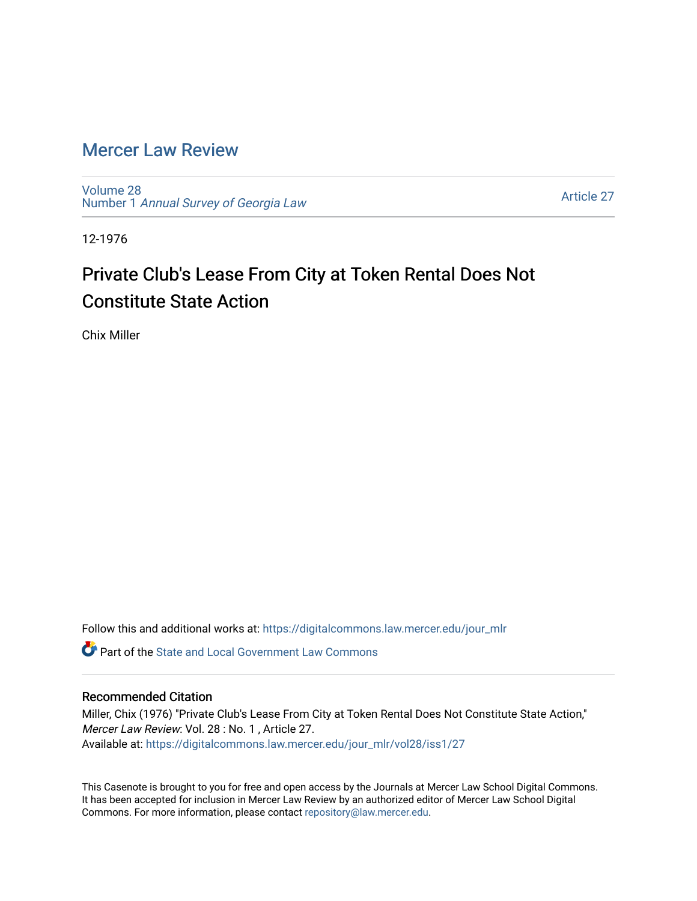## [Mercer Law Review](https://digitalcommons.law.mercer.edu/jour_mlr)

[Volume 28](https://digitalcommons.law.mercer.edu/jour_mlr/vol28) Number 1 [Annual Survey of Georgia Law](https://digitalcommons.law.mercer.edu/jour_mlr/vol28/iss1) 

[Article 27](https://digitalcommons.law.mercer.edu/jour_mlr/vol28/iss1/27) 

12-1976

## Private Club's Lease From City at Token Rental Does Not Constitute State Action

Chix Miller

Follow this and additional works at: [https://digitalcommons.law.mercer.edu/jour\\_mlr](https://digitalcommons.law.mercer.edu/jour_mlr?utm_source=digitalcommons.law.mercer.edu%2Fjour_mlr%2Fvol28%2Fiss1%2F27&utm_medium=PDF&utm_campaign=PDFCoverPages)

 $\bullet$  Part of the [State and Local Government Law Commons](http://network.bepress.com/hgg/discipline/879?utm_source=digitalcommons.law.mercer.edu%2Fjour_mlr%2Fvol28%2Fiss1%2F27&utm_medium=PDF&utm_campaign=PDFCoverPages)

## Recommended Citation

Miller, Chix (1976) "Private Club's Lease From City at Token Rental Does Not Constitute State Action," Mercer Law Review: Vol. 28 : No. 1 , Article 27. Available at: [https://digitalcommons.law.mercer.edu/jour\\_mlr/vol28/iss1/27](https://digitalcommons.law.mercer.edu/jour_mlr/vol28/iss1/27?utm_source=digitalcommons.law.mercer.edu%2Fjour_mlr%2Fvol28%2Fiss1%2F27&utm_medium=PDF&utm_campaign=PDFCoverPages) 

This Casenote is brought to you for free and open access by the Journals at Mercer Law School Digital Commons. It has been accepted for inclusion in Mercer Law Review by an authorized editor of Mercer Law School Digital Commons. For more information, please contact [repository@law.mercer.edu.](mailto:repository@law.mercer.edu)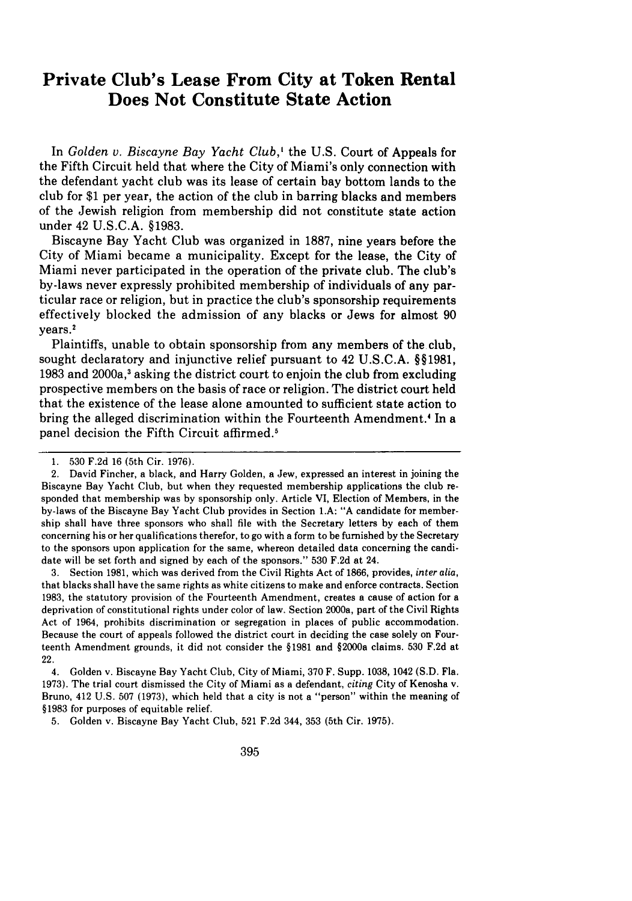## **Private Club's Lease From City at Token Rental Does Not Constitute State Action**

In *Golden v. Biscayne Bay Yacht Club,'* the U.S. Court of Appeals for the Fifth Circuit held that where the City of Miami's only connection with the defendant yacht club was its lease of certain bay bottom lands to the club for \$1 per year, the action of the club in barring blacks and members of the Jewish religion from membership did not constitute state action under 42 U.S.C.A. §1983.

Biscayne Bay Yacht Club was organized in 1887, nine years before the City of Miami became a municipality. Except for the lease, the City of Miami never participated in the operation of the private club. The club's by-laws never expressly prohibited membership of individuals of any particular race or religion, but in practice the club's sponsorship requirements effectively blocked the admission of any blacks or Jews for almost 90 years.'

Plaintiffs, unable to obtain sponsorship from any members of the club, sought declaratory and injunctive relief pursuant to 42 U.S.C.A. §§1981, 1983 and 2000a,3 asking the district court to enjoin the club from excluding prospective members on the basis of race or religion. The district court held that the existence of the lease alone amounted to sufficient state action to bring the alleged discrimination within the Fourteenth Amendment.<sup>4</sup> In a panel decision the Fifth Circuit affirmed.<sup>5</sup>

3. Section 1981, which was derived from the Civil Rights Act of 1866, provides, *inter alia,* that blacks shall have the same rights as white citizens to make and enforce contracts. Section 1983, the statutory provision of the Fourteenth Amendment, creates a cause of action for a deprivation of constitutional rights under color of law. Section 2000a, part of the Civil Rights Act of 1964, prohibits discrimination or segregation in places of public accommodation. Because the court of appeals followed the district court in deciding the case solely on Fourteenth Amendment grounds, it did not consider the §1981 and §2000a claims. 530 F.2d at 22.

4. Golden v. Biscayne Bay Yacht Club, City of Miami, 370 F. Supp. 1038, 1042 **(S.D.** Fla. 1973). The trial court dismissed the City of Miami as a defendant, *citing* City of Kenosha v. Bruno, 412 U.S. 507 (1973), which held that a city is not a "person" within the meaning of §1983 for purposes of equitable relief.

5. Golden v. Biscayne Bay Yacht Club, 521 F.2d 344, 353 (5th Cir. 1975).

<sup>1. 530</sup> F.2d 16 (5th Cir. 1976).

<sup>2.</sup> David Fincher, a black, and Harry Golden, a Jew, expressed an interest in joining the Biscayne Bay Yacht Club, but when they requested membership applications the club responded that membership was by sponsorship only. Article VI, Election of Members, in the by-laws of the Biscayne Bay Yacht Club provides in Section **LA: "A** candidate for membership shall have three sponsors who shall file with the Secretary letters by each of them concerning his or her qualifications therefor, to go with a form to be furnished by the Secretary to the sponsors upon application for the same, whereon detailed data concerning the candidate will be set forth and signed by each of the sponsors." 530 F.2d at 24.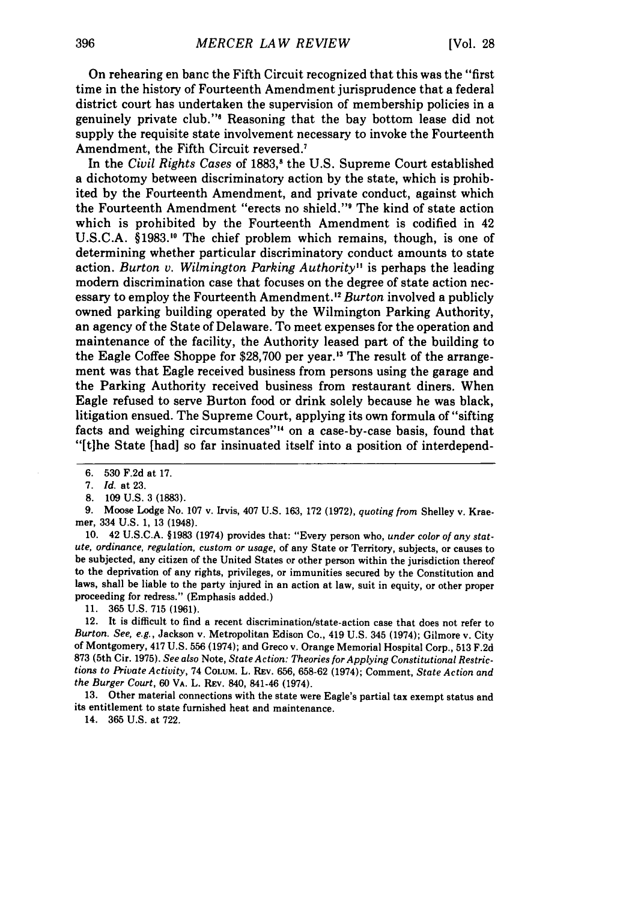On rehearing en banc the Fifth Circuit recognized that this was the "first time in the history of Fourteenth Amendment jurisprudence that a federal district court has undertaken the supervision of membership policies in a genuinely private club."' Reasoning that the bay bottom lease did not supply the requisite state involvement necessary to invoke the Fourteenth Amendment, the Fifth Circuit reversed.7

In the *Civil Rights Cases* of 1883,<sup>8</sup> the U.S. Supreme Court established a dichotomy between discriminatory action by the state, which is prohibited by the Fourteenth Amendment, and private conduct, against which the Fourteenth Amendment "erects no shield."<sup>9</sup> The kind of state action which is prohibited by the Fourteenth Amendment is codified in 42 U.S.C.A. §1983.1" The chief problem which remains, though, is one of determining whether particular discriminatory conduct amounts to state action. *Burton v. Wilmington Parking Authority"* is perhaps the leading modem discrimination case that focuses on the degree of state action necessary to employ the Fourteenth Amendment.<sup>12</sup> Burton involved a publicly owned parking building operated by the Wilmington Parking Authority, an agency of the State of Delaware. To meet expenses for the operation and maintenance of the facility, the Authority leased part of the building to the Eagle Coffee Shoppe for \$28,700 per year.<sup>13</sup> The result of the arrangement was that Eagle received business from persons using the garage and the Parking Authority received business from restaurant diners. When Eagle refused to serve Burton food or drink solely because he was black, litigation ensued. The Supreme Court, applying its own formula of "sifting facts and weighing circumstances"<sup>14</sup> on a case-by-case basis, found that "[tihe State [had] so far insinuated itself into a position of interdepend-

10. 42 U.S.C.A. §1983 (1974) provides that: "Every person who, *under color of any statute, ordinance, regulation, custom or usage,* of any State or Territory, subjects, or causes to be subjected, any citizen of the United States or other person within the jurisdiction thereof to the deprivation of any rights, privileges, or immunities secured by the Constitution and laws, shall be liable to the party injured in an action at law, suit in equity, or other proper proceeding for redress." (Emphasis added.)

11. 365 U.S. 715 (1961).

12. It is difficult to find a recent discrimination/state-action case that does not refer to Burton. See, *e.g.,* Jackson v. Metropolitan Edison Co., 419 U.S. 345 (1974); Gilmore v. City of Montgomery, 417 U.S. 556 (1974); and Greco v. Orange Memorial Hospital Corp., 513 F.2d 873 (5th Cir. 1975). *See also* Note, *State Action: Theories for Applying Constitutional Restrictions to Private Activity,* 74 COLUM. L. REv. 656, 658-62 (1974); Comment, *State Action and* the Burger Court, 60 VA. L. REv. 840, 841-46 (1974).

13. Other material connections with the state were Eagle's partial tax exempt status and its entitlement to state furnished heat and maintenance.

14. 365 U.S. at 722.

<sup>6. 530</sup> F.2d at 17.

*<sup>7.</sup> Id.* at 23.

<sup>8. 109</sup> U.S. 3 (1883).

**<sup>9.</sup>** Moose Lodge No. **107** v. Irvis, 407 **U.S.** 163, **172** (1972), *quoting from* Shelley v. Kraemer, 334 U.S. 1, 13 (1948).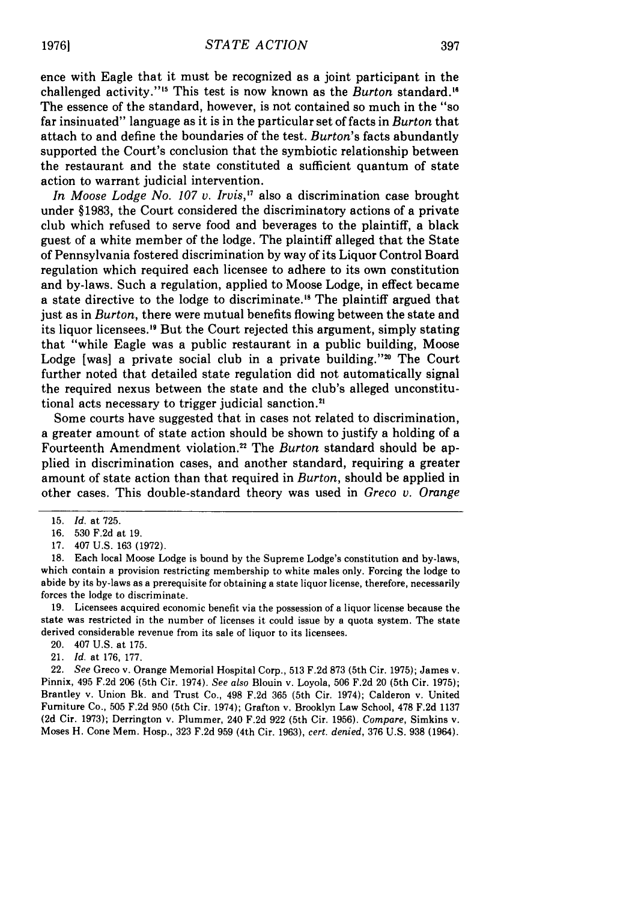ence with Eagle that it must be recognized as a joint participant in the challenged activity."'" This test is now known as the *Burton* standard."6 The essence of the standard, however, is not contained so much in the "so far insinuated" language as it is in the particular set of facts in *Burton* that attach to and define the boundaries of the test. *Burton's* facts abundantly supported the Court's conclusion that the symbiotic relationship between the restaurant and the state constituted a sufficient quantum of state action to warrant judicial intervention.

*In Moose Lodge No. 107 v. Irvis*,<sup>17</sup> also a discrimination case brought under §1983, the Court considered the discriminatory actions of a private club which refused to serve food and beverages to the plaintiff, a black guest of a white member of the lodge. The plaintiff alleged that the State of Pennsylvania fostered discrimination by way of its Liquor Control Board regulation which required each licensee to adhere to its own constitution and by-laws. Such a regulation, applied to Moose Lodge, in effect became a state directive to the lodge to discriminate.<sup>18</sup> The plaintiff argued that just as in *Burton,* there were mutual benefits flowing between the state and its liquor licensees.'" But the Court rejected this argument, simply stating that "while Eagle was a public restaurant in a public building, Moose Lodge [was] a private social club in a private building." $20$  The Court further noted that detailed state regulation did not automatically signal the required nexus between the state and the club's alleged unconstitutional acts necessary to trigger judicial sanction.2'

Some courts have suggested that in cases not related to discrimination, a greater amount of state action should be shown to justify a holding of a Fourteenth Amendment violation.2 2 The *Burton* standard should be applied in discrimination cases, and another standard, requiring a greater amount of state action than that required in *Burton,* should be applied in other cases. This double-standard theory was used in *Greco v. Orange*

17. 407 U.S. 163 (1972).

18. Each local Moose Lodge is bound by the Supreme Lodge's constitution and by-laws, which contain a provision restricting membership to white males only. Forcing the lodge to abide by its by-laws as a prerequisite for obtaining a state liquor license, therefore, necessarily forces the lodge to discriminate.

19. Licensees acquired economic benefit via the possession of a liquor license because the state was restricted in the number of licenses it could issue by a quota system. The state derived considerable revenue from its sale of liquor to its licensees.

21. *Id.* at 176, 177.

22. *See* Greco v. Orange Memorial Hospital Corp., 513 F.2d 873 (5th Cir. 1975); James v. Pinnix, 495 F.2d 206 (5th Cir. 1974). *See also* Blouin v. Loyola, 506 F.2d 20 (5th Cir. 1975); Brantley v. Union Bk. and Trust Co., 498 F.2d 365 (5th Cir. 1974); Calderon v. United Furniture Co., 505 F.2d 950 (5th Cir. 1974); Grafton v. Brooklyn Law School, 478 F.2d 1137 (2d Cir. 1973); Derrington v. Plummer, 240 F.2d 922 (5th Cir. 1956). *Compare,* Simkins v. Moses H. Cone Mem. Hosp., 323 F.2d 959 (4th Cir. 1963), *cert. denied,* 376 U.S. 938 (1964).

<sup>15.</sup> *Id.* at 725.

<sup>16. 530</sup> F.2d at 19.

<sup>20. 407</sup> U.S. at 175.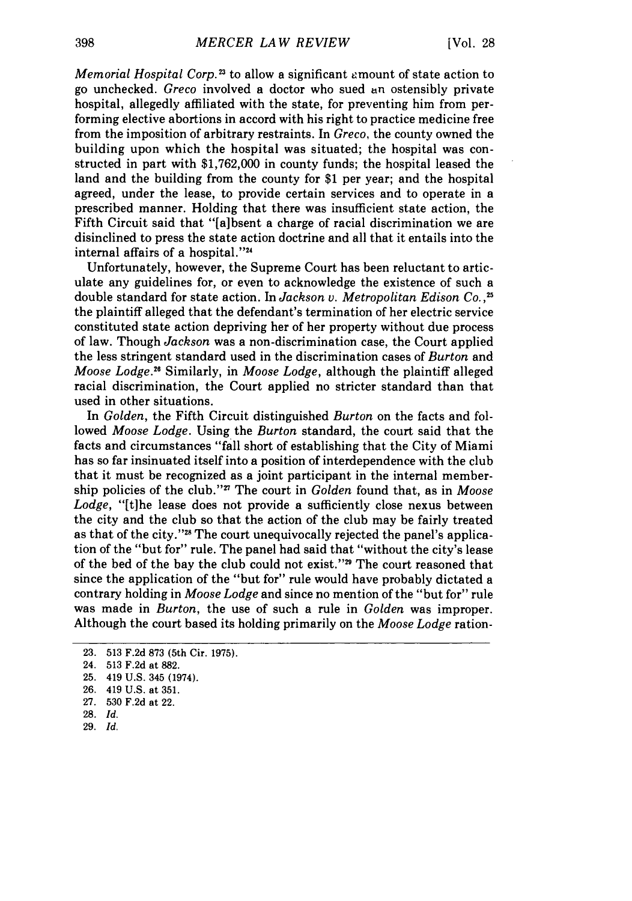*Memorial Hospital Corp.*<sup>23</sup> to allow a significant amount of state action to go unchecked. *Greco* involved a doctor who sued an ostensibly private hospital, allegedly affiliated with the state, for preventing him from performing elective abortions in accord with his right to practice medicine free from the imposition of arbitrary restraints. In *Greco,* the county owned the building upon which the hospital was situated; the hospital was constructed in part with \$1,762,000 in county funds; the hospital leased the land and the building from the county for \$1 per year; and the hospital agreed, under the lease, to provide certain services and to operate in a prescribed manner. Holding that there was insufficient state action, the Fifth Circuit said that "[a]bsent a charge of racial discrimination we are disinclined to press the state action doctrine and all that it entails into the internal affairs of a hospital."2

Unfortunately, however, the Supreme Court has been reluctant to articulate any guidelines for, or even to acknowledge the existence of such a double standard for state action. In *Jackson v. Metropolitan Edison Co.* **,25** the plaintiff alleged that the defendant's termination of her electric service constituted state action depriving her of her property without due process of law. Though *Jackson* was a non-discrimination case, the Court applied the less stringent standard used in the discrimination cases of *Burton* and *Moose Lodge.<sup>26</sup>* Similarly, in *Moose Lodge*, although the plaintiff alleged racial discrimination, the Court applied no stricter standard than that used in other situations.

In *Golden,* the Fifth Circuit distinguished *Burton* on the facts and followed *Moose Lodge.* Using the *Burton* standard, the court said that the facts and circumstances "fall short of establishing that the City of Miami has so far insinuated itself into a position of interdependence with the club that it must be recognized as a joint participant in the internal membership policies of the club."<sup>27</sup> The court in *Golden* found that, as in *Moose* Lodge, "[t]he lease does not provide a sufficiently close nexus between the city and the club so that the action of the club may be fairly treated as that of the city."<sup>28</sup> The court unequivocally rejected the panel's application of the "but for" rule. The panel had said that "without the city's lease of the bed of the bay the club could not exist."<sup>29</sup> The court reasoned that since the application of the "but for" rule would have probably dictated a contrary holding in *Moose Lodge* and since no mention of the "but for" rule was made in *Burton,* the use of such a rule in *Golden* was improper. Although the court based its holding primarily on the *Moose Lodge* ration-

**29.** *Id.*

<sup>23. 513</sup> F.2d 873 (5th Cir. **1975).**

<sup>24. 513</sup> F.2d at 882.

<sup>25. 419</sup> U.S. 345 (1974).

<sup>26. 419</sup> U.S. at **351.**

<sup>27. 530</sup> F.2d at 22.

**<sup>28.</sup>** *Id.*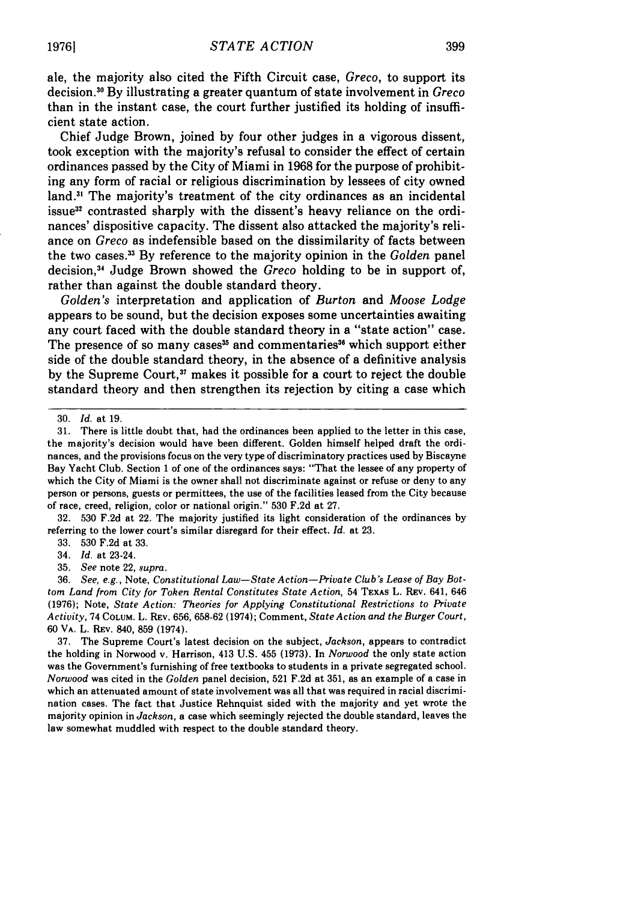ale, the majority also cited the Fifth Circuit case, *Greco,* to support its decision. 0 By illustrating a greater quantum of state involvement in *Greco* than in the instant case, the court further justified its holding of insufficient state action.

Chief Judge Brown, joined by four other judges in a vigorous dissent, took exception with the majority's refusal to consider the effect of certain ordinances passed by the City of Miami in 1968 for the purpose of prohibiting any form of racial or religious discrimination by lessees of city owned land. $<sup>31</sup>$  The majority's treatment of the city ordinances as an incidental</sup> issue<sup>32</sup> contrasted sharply with the dissent's heavy reliance on the ordinances' dispositive capacity. The dissent also attacked the majority's reliance on *Greco* as indefensible based on the dissimilarity of facts between the two cases.3 3 By reference to the majority opinion in the *Golden* panel decision, 3 Judge Brown showed the *Greco* holding to be in support of, rather than against the double standard theory.

*Golden's* interpretation and application of *Burton* and *Moose Lodge* appears to be sound, but the decision exposes some uncertainties awaiting any court faced with the double standard theory in a "state action" case. The presence of so many cases<sup>35</sup> and commentaries<sup>36</sup> which support either side of the double standard theory, in the absence of a definitive analysis by the Supreme Court,<sup>37</sup> makes it possible for a court to reject the double standard theory and then strengthen its rejection by citing a case which

**32. 530** F.2d at 22. The majority justified its light consideration of the ordinances by referring to the lower court's similar disregard for their effect. *Id.* at **23.**

**33. 530** F.2d at **33.**

34. *Id.* at 23-24.

35. *See* note 22, supra.

36. *See, e.g.,* Note, *Constitutional Law-State Action-Private Club's Lease of Bay Bottom Land from City for Token Rental Constitutes State Action,* 54 TEXAS L. REv. 641, 646 (1976); Note, *State Action: Theories for Applying Constitutional Restrictions to Private Activity,* 74 COLUM. L. REV. 656, 658-62 (1974); Comment, *State Action and the Burger Court,* 60 VA. L. REV. 840, 859 (1974).

37. The Supreme Court's latest decision on the subject, *Jackson,* appears to contradict the holding in Norwood v. Harrison, 413 U.S. 455 (1973). In *Norwood* the only state action was the Government's furnishing of free textbooks to students in a private segregated school. *Norwood* was cited in the *Golden* panel decision, 521 F.2d at 351, as an example of a case in which an attenuated amount of state involvement was all that was required in racial discrimination cases. The fact that Justice Rehnquist sided with the majority and yet wrote the majority opinion in *Jackson,* a case which seemingly rejected the double standard, leaves the law somewhat muddled with respect to the double standard theory.

<sup>30.</sup> *Id.* at 19.

<sup>31.</sup> There is little doubt that, had the ordinances been applied to the letter in this case, the majority's decision would have been different. Golden himself helped draft the ordinances, and the provisions focus on the very type of discriminatory practices used **by** Biscayne Bay Yacht Club. Section 1 of one of the ordinances says: "That the lessee of any property of which the City of Miami is the owner shall not discriminate against or refuse or deny to any person or persons, guests or permittees, the use of the facilities leased from the City because of race, creed, religion, color or national origin." **530** F.2d at **27.**